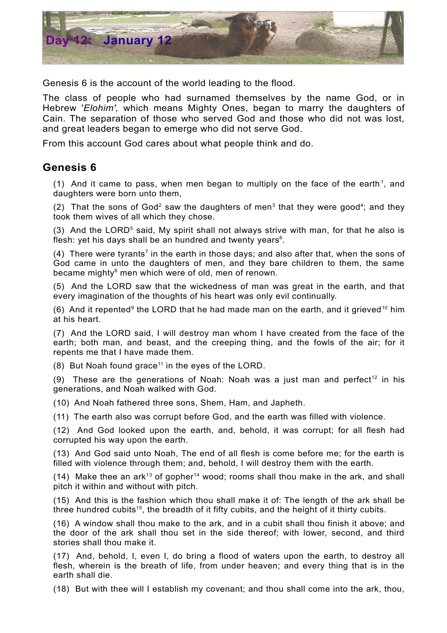

Genesis 6 is the account of the world leading to the flood.

The class of people who had surnamed themselves by the name God, or in Hebrew '*Elohim',* which means Mighty Ones, began to marry the daughters of Cain. The separation of those who served God and those who did not was lost, and great leaders began to emerge who did not serve God.

From this account God cares about what people think and do.

## **Genesis 6**

([1](#page-1-0)) And it came to pass, when men began to multiply on the face of the earth<sup>1</sup>, and daughters were born unto them,

([2](#page-1-1)) That the sons of God<sup>2</sup> saw the daughters of men<sup>[3](#page-1-2)</sup> that they were good<sup>[4](#page-1-3)</sup>; and they took them wives of all which they chose.

(3) And the LORD<sup>[5](#page-1-4)</sup> said, My spirit shall not always strive with man, for that he also is flesh: yet his days shall be an hundred and twenty years $6$ .

(4) There were tyrants<sup>[7](#page-1-6)</sup> in the earth in those days; and also after that, when the sons of God came in unto the daughters of men, and they bare children to them, the same became mighty [8](#page-1-7) men which were of old, men of renown.

(5) And the LORD saw that the wickedness of man was great in the earth, and that every imagination of the thoughts of his heart was only evil continually.

(6) And it repented<sup>[9](#page-1-8)</sup> the LORD that he had made man on the earth, and it grieved<sup>[10](#page-1-9)</sup> him at his heart.

(7) And the LORD said, I will destroy man whom I have created from the face of the earth; both man, and beast, and the creeping thing, and the fowls of the air; for it repents me that I have made them.

(8) But Noah found grace<sup>[11](#page-1-10)</sup> in the eyes of the LORD.

(9) These are the generations of Noah: Noah was a just man and perfect<sup>[12](#page-1-11)</sup> in his generations, and Noah walked with God.

(10) And Noah fathered three sons, Shem, Ham, and Japheth.

(11) The earth also was corrupt before God, and the earth was filled with violence.

(12) And God looked upon the earth, and, behold, it was corrupt; for all flesh had corrupted his way upon the earth.

(13) And God said unto Noah, The end of all flesh is come before me; for the earth is filled with violence through them; and, behold, I will destroy them with the earth.

(14) Make thee an ark<sup>[13](#page-1-12)</sup> of gopher<sup>[14](#page-1-13)</sup> wood; rooms shall thou make in the ark, and shall pitch it within and without with pitch.

(15) And this is the fashion which thou shall make it of: The length of the ark shall be three hundred cubits<sup>[15](#page-1-14)</sup>, the breadth of it fifty cubits, and the height of it thirty cubits.

(16) A window shall thou make to the ark, and in a cubit shall thou finish it above; and the door of the ark shall thou set in the side thereof; with lower, second, and third stories shall thou make it.

(17) And, behold, I, even I, do bring a flood of waters upon the earth, to destroy all flesh, wherein is the breath of life, from under heaven; and every thing that is in the earth shall die.

(18) But with thee will I establish my covenant; and thou shall come into the ark, thou,